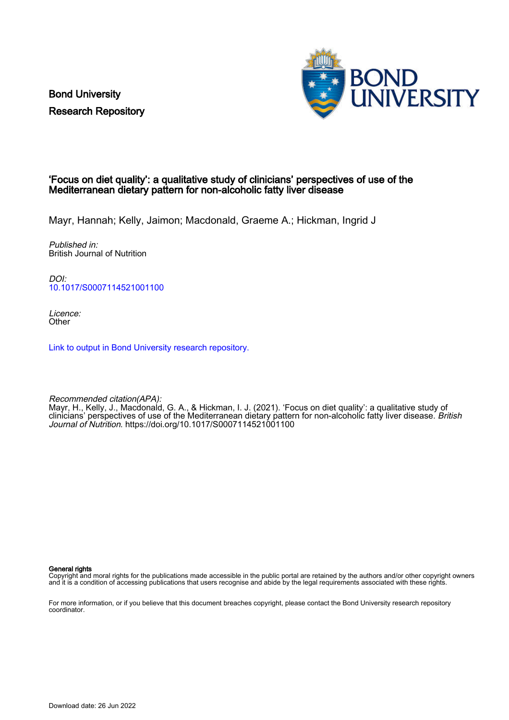Bond University Research Repository



#### 'Focus on diet quality': a qualitative study of clinicians' perspectives of use of the Mediterranean dietary pattern for non-alcoholic fatty liver disease

Mayr, Hannah; Kelly, Jaimon; Macdonald, Graeme A.; Hickman, Ingrid J

Published in: British Journal of Nutrition

DOI: [10.1017/S0007114521001100](https://doi.org/10.1017/S0007114521001100)

Licence: **Other** 

[Link to output in Bond University research repository.](https://research.bond.edu.au/en/publications/2695bec3-3139-42e1-94d0-5af34cc0ae2c)

Recommended citation(APA): Mayr, H., Kelly, J., Macdonald, G. A., & Hickman, I. J. (2021). 'Focus on diet quality': a qualitative study of clinicians' perspectives of use of the Mediterranean dietary pattern for non-alcoholic fatty liver disease. British Journal of Nutrition.<https://doi.org/10.1017/S0007114521001100>

General rights

Copyright and moral rights for the publications made accessible in the public portal are retained by the authors and/or other copyright owners and it is a condition of accessing publications that users recognise and abide by the legal requirements associated with these rights.

For more information, or if you believe that this document breaches copyright, please contact the Bond University research repository coordinator.